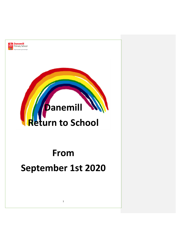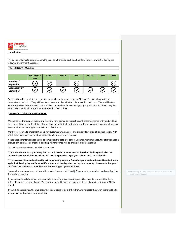| <b>Danemill</b><br>Primary School |
|-----------------------------------|
| Only the best is good enough.     |
| Introduction                      |

This document aims to set out Danemill's plans to a transition back to school for all children whilst following the following Government Guidance:

# **Phased Return – Our Aims**

|                                        | Pre-School &<br><b>EYFS</b> | Year 1       | Year 2 | Year 3       | Year 4 | Year 5       | Year 6 |
|----------------------------------------|-----------------------------|--------------|--------|--------------|--------|--------------|--------|
| Tuesday 1st<br>September               | $\checkmark$                | $\checkmark$ |        | $\checkmark$ |        |              |        |
| Wednesday 2 <sup>nd</sup><br>September | $\checkmark$                | $\checkmark$ |        | $\check{ }$  |        | $\checkmark$ |        |

Our children wi[ll retu](https://thenounproject.com/term/tick/3325465)rn int[o the](https://thenounproject.com/term/tick/3325465)ir cla[sses a](https://thenounproject.com/term/tick/3325465)nd t[aught](https://thenounproject.com/term/tick/3325465) by t[heir cla](https://thenounproject.com/term/tick/3325465)ss t[eache](https://thenounproject.com/term/tick/3325465)r. [They](https://thenounproject.com/term/tick/3325465) will form a bubble with their classmates in their class. They will be able to learn and play with the children within their class. There will be two exceptions: Pre-School and EYFS. Pre-School will be one bubble. EYFS as a year group will be one bubble. They will have break time, lunch time and PE lessons within their bubble.

### **Drop-off and Collection Arrangements:**

We appreciate the support that you will need to have gained to support us with these staggered entry and exit but this is one of the most difficult jobs that we have to navigate. In order to show that we can open as a school we have to ensure that we can support adults to socially distance.

We therefore have to implement a one-way system so we can enter and exit adults at drop off and collection. With only 3 entrances, we have no other choice than to stagger entry and exit.

**Please note parents will not be able to come past the gate into school under any circumstance. We also will not be allowed any parents in our school building. Any meetings will be phone calls or via weblink.** 

This will be monitored on a weekly basis, at least.

**\*If you are late and miss your entry then you will need to wait away from the school building until all of the children have entered then we will be able to make provision to get your child to their correct bubble.** 

**\*If children are distressed and unable to independently separate from their parents then they will be asked to try again the following day and/or at a different point of the day after the staggered opening. Please note that your child's teacher and our SLT members are there to support you at all times.** 

Upon arrival and departure, children will be asked to wash their hands. There are also scheduled hand washing slots during the school day.

**If** you choose to walk to school and your child is wearing a face covering, we will ask you to remove it for them before they enter the school gates. The government guidelines are clear and direct children to not require PPE in school.

If your child has siblings, then we know that this is going to be a difficult time to navigate. However, there will be SLT members of staff on hand to support you.

**Commented [DB1]:** Be clear that staff must monitor this and make sure it happens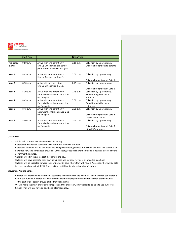| <b>Danemill</b><br><b>Primary Sch</b><br><b>Primary Sch</b> |
|-------------------------------------------------------------|
|                                                             |

rimary School Only the best is good enough

|                      | <b>Start Time</b> |                                                                                                      | <b>Finish Time</b> |                                                                                       |
|----------------------|-------------------|------------------------------------------------------------------------------------------------------|--------------------|---------------------------------------------------------------------------------------|
|                      |                   |                                                                                                      |                    |                                                                                       |
| Pre-school<br>& EYFS | 9:00 a.m.         | Arrive with one parent only.<br>Line up 2m apart on pre-school<br>path. Parent leaves child at gate. | 3:15 p.m.          | Collection by 1 parent only.<br>Children brought out to parents                       |
| Year 1               | $8:45$ a.m.       | Arrive with one parent only.<br>Line up 2m apart on Gate 1.                                          | 3:00 p.m.          | Collection by 1 parent only.<br>Children brought out of Gate 1.                       |
| Year 2               | 8:30a.m.          | Arrive with one parent only.<br>Line up 2m apart on Gate 1.                                          | 2:45 p.m.          | Collection by 1 parent only.<br>Children brought out of Gate 1.                       |
| Year 3               | 8.30 a.m.         | Arrive with one parent only.<br>Enter via the main entrance. Line<br>up 2m apart.                    | 2.45 p.m.          | Collection by 1 parent only.<br>Exited through the main<br>entrance.                  |
| Year 4               | $8:45$ a.m.       | Arrive with one parent only.<br>Enter via the main entrance. Line<br>up 2m apart.                    | 3:00 p.m.          | Collection by 1 parent only.<br>Exited through the main<br>entrance.                  |
| Year 5               | $8:45$ a.m.       | Arrive with one parent only.<br>Enter via the main entrance. Line<br>up 2m apart.                    | 3:00 p.m.          | Collection by 1 parent only.<br>Children brought out of Gate 3<br>(New KS2 entrance). |
| Year <sub>6</sub>    | 8:30a.m.          | Arrive with one parent only.<br>Enter via the main entrance. Line<br>up 2m apart.                    | 2:45 p.m.          | Collection by 1 parent only.<br>Children brought out of Gate 3<br>(New KS2 entrance). |

### **Classrooms**

- Adults will continue to maintain social distancing.
- Classrooms will be well ventilated with doors and windows left open.
- Classroom furniture will be laid out in line with government guidance. Pre-School and EYFS will continue to have free flow and continuous provision. Other year groups will have their tables in rows as directed by the government guidance.
- Children will sit in the same seat throughout the day.
- Children will have access to their own pencil case and stationery. This is all provided by school.
- Children will be expected to wear their uniform. On days where they will have a PE session, they will be able to come to school in their PE kit (tracksuit) so that this minimises changing of clothes.

#### **Movement Around School**

- Children will eat their dinner in their classrooms. On days where the weather is good, we may eat outdoors within our bubbles. Children will wash their hands thoroughly before and after children eat their lunch. To the best of our ability, groups of children will not mix.
- 
- We will make the most of our outdoor space and the children will have slots to be able to use our Forest School. They will also have an additional afternoon play.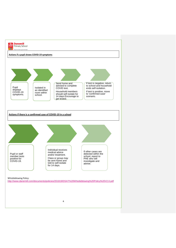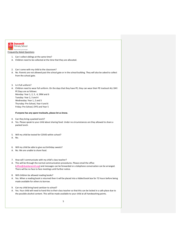

# Only the best is good en

Frequently Asked Questions

- 1. Can I collect siblings at the same time?
- A. Children need to be collected at the time that they are allocated.
- 2. Can I come with my child to the classroom?
- A. No. Parents are not allowed past the school gate or in the school building. They will also be asked to collect from the school gate.
- 3. Is it full uniform?

## A. Children need to wear full uniform. On the days that they have PE, they can wear their PE tracksuit ALL DAY. PE Days are as follows: Monday: Year 1, 2, 3 , 4, 5RM and 6 Tuesday: Year 2, 3 and 4 Wednesday: Year 1, 2 and 5 Thursday: Pre-School, Year 4 and 6 Friday: Pre-School, EYFS and Year 5

### **If anyone has any spare tracksuits, please let us know.**

- 4. Can they bring a packed lunch?
- A. Yes. Please speak to your child about sharing food. Under no circumstances are they allowed to share a packed lunch.
- 5. Will my child be tested for COVID within school?
- A. No.
- 6. Will my child be able to give out birthday sweets?
- A. No. We are unable to share food.

### 7. How will I communicate with my child's class teacher?

- A. This will be through the normal communication procedures. Please email the office [\(office@dsatdanemill.org\)](mailto:office@dsatdanemill.org) and messages can be forwarded or a telephone conversation can be arranged. There will be no face to face meetings until further notice.
- 8. Will children be allowed reading books?
- A. Yes. When a reading book is returned then it will be placed into a lidded book box for 72 hours before being made available for others to borrow.
- 9. Can my child bring hand sanitizer to school?
- A. Yes. Your child will need to hand this to their class teacher so that this can be locked in a safe place due to the possible alcohol content. This will be made available to your child at all handwashing points.